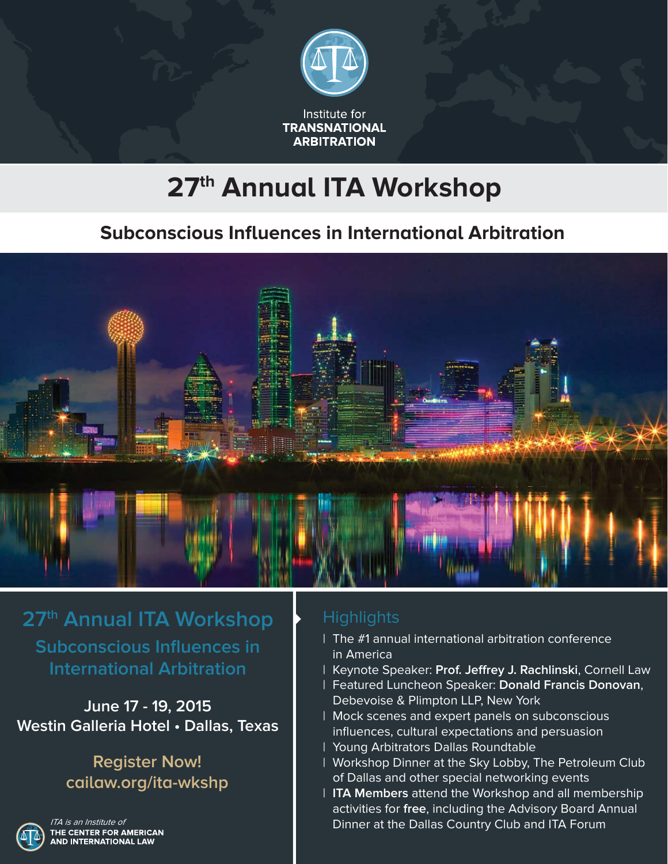

# **27th Annual ITA Workshop**

**Subconscious Influences in International Arbitration** 



**27th Annual ITA Workshop Subconscious Influences in International Arbitration**

**June 17 - 19, 2015 Westin Galleria Hotel • Dallas, Texas**

> **Register Now! cailaw.org/ita-wkshp**



**TA** is an Institute of **HE CENTER FOR AMERICAN IND INTERNATIONAL LAW** 

# **Highlights**

- | The #1 annual international arbitration conference in America
- | Keynote Speaker: **Prof. Jeff rey J. Rachlinski**, Cornell Law
- | Featured Luncheon Speaker: **Donald Francis Donovan**, Debevoise & Plimpton LLP, New York
- | Mock scenes and expert panels on subconscious influences, cultural expectations and persuasion
- | Young Arbitrators Dallas Roundtable
- | Workshop Dinner at the Sky Lobby, The Petroleum Club of Dallas and other special networking events
- | **ITA Members** attend the Workshop and all membership activities for **free**, including the Advisory Board Annual Dinner at the Dallas Country Club and ITA Forum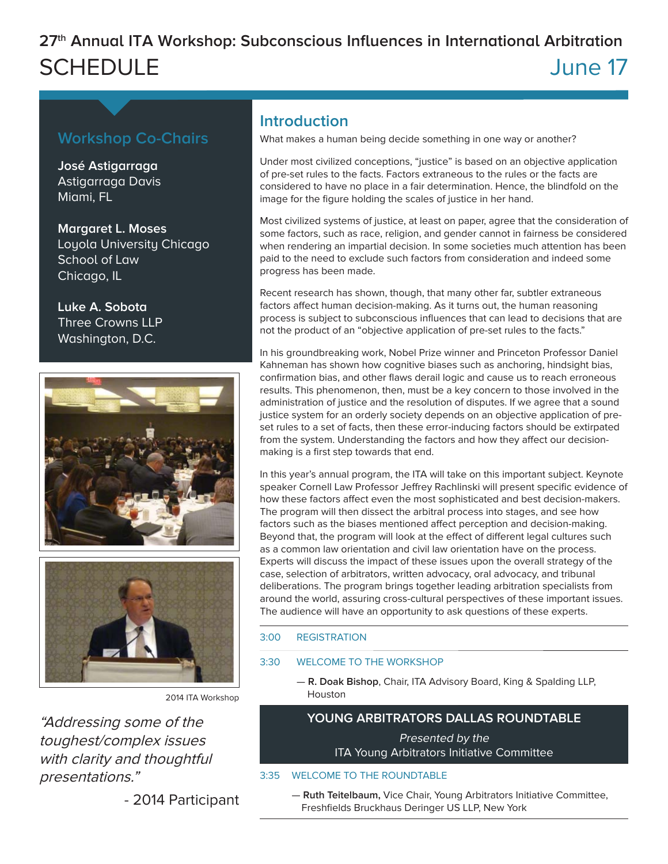# 27<sup>th</sup> Annual ITA Workshop: Subconscious Influences in International Arbitration SCHEDULE June 17

### **Workshop Co-Chairs**

**José Astigarraga** Astigarraga Davis Miami, FL

**Margaret L. Moses** Loyola University Chicago School of Law Chicago, IL

**Luke A. Sobota** Three Crowns LLP Washington, D.C.





2014 ITA Workshop

"Addressing some of the toughest/complex issues with clarity and thoughtful presentations."

- 2014 Participant

### **Introduction**

What makes a human being decide something in one way or another?

Under most civilized conceptions, "justice" is based on an objective application of pre-set rules to the facts. Factors extraneous to the rules or the facts are considered to have no place in a fair determination. Hence, the blindfold on the image for the figure holding the scales of justice in her hand.

Most civilized systems of justice, at least on paper, agree that the consideration of some factors, such as race, religion, and gender cannot in fairness be considered when rendering an impartial decision. In some societies much attention has been paid to the need to exclude such factors from consideration and indeed some progress has been made.

Recent research has shown, though, that many other far, subtler extraneous factors affect human decision-making. As it turns out, the human reasoning process is subject to subconscious influences that can lead to decisions that are not the product of an "objective application of pre-set rules to the facts."

In his groundbreaking work, Nobel Prize winner and Princeton Professor Daniel Kahneman has shown how cognitive biases such as anchoring, hindsight bias, confirmation bias, and other flaws derail logic and cause us to reach erroneous results. This phenomenon, then, must be a key concern to those involved in the administration of justice and the resolution of disputes. If we agree that a sound justice system for an orderly society depends on an objective application of preset rules to a set of facts, then these error-inducing factors should be extirpated from the system. Understanding the factors and how they affect our decisionmaking is a first step towards that end.

In this year's annual program, the ITA will take on this important subject. Keynote speaker Cornell Law Professor Jeffrey Rachlinski will present specific evidence of how these factors affect even the most sophisticated and best decision-makers. The program will then dissect the arbitral process into stages, and see how factors such as the biases mentioned affect perception and decision-making. Beyond that, the program will look at the effect of different legal cultures such as a common law orientation and civil law orientation have on the process. Experts will discuss the impact of these issues upon the overall strategy of the case, selection of arbitrators, written advocacy, oral advocacy, and tribunal deliberations. The program brings together leading arbitration specialists from around the world, assuring cross-cultural perspectives of these important issues. The audience will have an opportunity to ask questions of these experts.

#### 3:00 REGISTRATION

#### 3:30 WELCOME TO THE WORKSHOP

— **R. Doak Bishop**, Chair, ITA Advisory Board, King & Spalding LLP, Houston

### **YOUNG ARBITRATORS DALLAS ROUNDTABLE**

Presented by the ITA Young Arbitrators Initiative Committee

#### 3:35 WELCOME TO THE ROUNDTABLE

— **Ruth Teitelbaum,** Vice Chair, Young Arbitrators Initiative Committee, Freshfields Bruckhaus Deringer US LLP, New York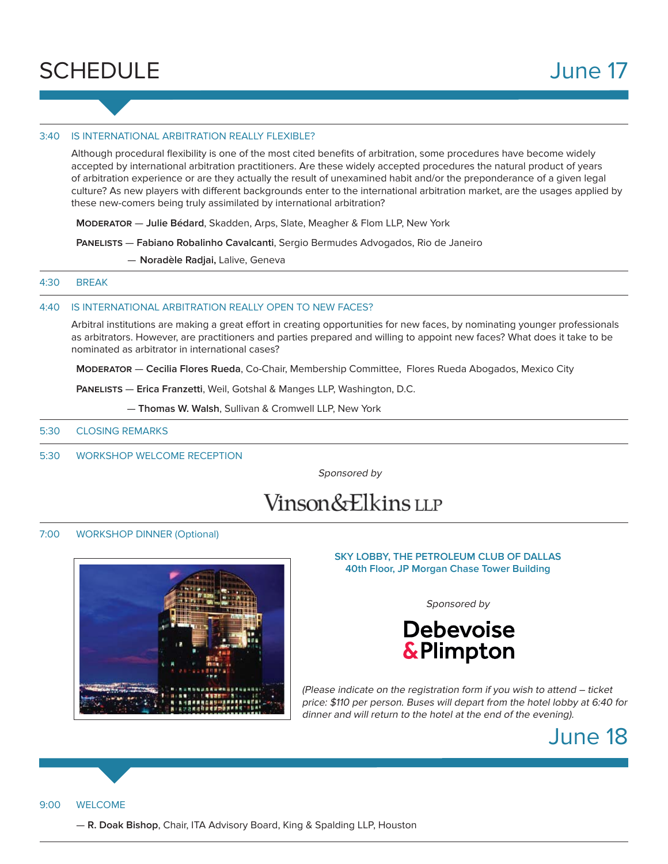

#### 3:40 IS INTERNATIONAL ARBITRATION REALLY FLEXIBLE?

Although procedural flexibility is one of the most cited benefits of arbitration, some procedures have become widely accepted by international arbitration practitioners. Are these widely accepted procedures the natural product of years of arbitration experience or are they actually the result of unexamined habit and/or the preponderance of a given legal culture? As new players with different backgrounds enter to the international arbitration market, are the usages applied by these new-comers being truly assimilated by international arbitration?

**Moderator** — **Julie Bédard**, Skadden, Arps, Slate, Meagher & Flom LLP, New York

**Panelists** — **Fabiano Robalinho Cavalcanti**, Sergio Bermudes Advogados, Rio de Janeiro

— **Noradèle Radjai,** Lalive, Geneva

#### 4:30 BREAK

#### 4:40 IS INTERNATIONAL ARBITRATION REALLY OPEN TO NEW FACES?

Arbitral institutions are making a great effort in creating opportunities for new faces, by nominating younger professionals as arbitrators. However, are practitioners and parties prepared and willing to appoint new faces? What does it take to be nominated as arbitrator in international cases?

**Moderator** — **Cecilia Flores Rueda**, Co-Chair, Membership Committee, Flores Rueda Abogados, Mexico City

**Panelists** — **Erica Franzetti**, Weil, Gotshal & Manges LLP, Washington, D.C.

— **Thomas W. Walsh**, Sullivan & Cromwell LLP, New York

5:30 CLOSING REMARKS

5:30 WORKSHOP WELCOME RECEPTION

Sponsored by

# Vinson&Elkins LLP

#### 7:00 WORKSHOP DINNER (Optional)



#### **SKY LOBBY, THE PETROLEUM CLUB OF DALLAS 40th Floor, JP Morgan Chase Tower Building**

Sponsored by



(Please indicate on the registration form if you wish to attend – ticket price: \$110 per person. Buses will depart from the hotel lobby at 6:40 for dinner and will return to the hotel at the end of the evening).



9:00 WELCOME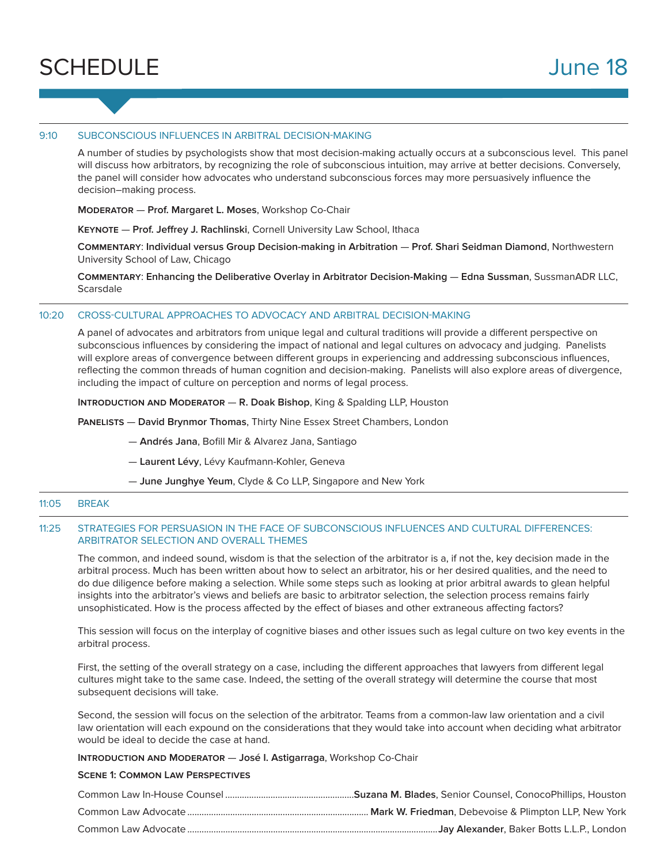

#### 9:10 SUBCONSCIOUS INFLUENCES IN ARBITRAL DECISION-MAKING

A number of studies by psychologists show that most decision-making actually occurs at a subconscious level. This panel will discuss how arbitrators, by recognizing the role of subconscious intuition, may arrive at better decisions. Conversely, the panel will consider how advocates who understand subconscious forces may more persuasively influence the decision–making process.

**Moderator** — **Prof. Margaret L. Moses**, Workshop Co-Chair

**Keynote** — **Prof. Jeff rey J. Rachlinski**, Cornell University Law School, Ithaca

**Commentary**: **Individual versus Group Decision-making in Arbitration** — **Prof. Shari Seidman Diamond**, Northwestern University School of Law, Chicago

**Commentary**: **Enhancing the Deliberative Overlay in Arbitrator Decision-Making** — **Edna Sussman**, SussmanADR LLC, Scarsdale

#### 10:20 CROSS-CULTURAL APPROACHES TO ADVOCACY AND ARBITRAL DECISION-MAKING

A panel of advocates and arbitrators from unique legal and cultural traditions will provide a different perspective on subconscious influences by considering the impact of national and legal cultures on advocacy and judging. Panelists will explore areas of convergence between different groups in experiencing and addressing subconscious influences, reflecting the common threads of human cognition and decision-making. Panelists will also explore areas of divergence, including the impact of culture on perception and norms of legal process.

#### **Introduction and Moderator** — **R. Doak Bishop**, King & Spalding LLP, Houston

**Panelists** — **David Brynmor Thomas**, Thirty Nine Essex Street Chambers, London

- Andrés Jana, Bofill Mir & Alvarez Jana, Santiago
- **Laurent Lévy**, Lévy Kaufmann-Kohler, Geneva
- **June Junghye Yeum**, Clyde & Co LLP, Singapore and New York

#### 11:05 BREAK

#### 11:25 STRATEGIES FOR PERSUASION IN THE FACE OF SUBCONSCIOUS INFLUENCES AND CULTURAL DIFFERENCES: ARBITRATOR SELECTION AND OVERALL THEMES

The common, and indeed sound, wisdom is that the selection of the arbitrator is a, if not the, key decision made in the arbitral process. Much has been written about how to select an arbitrator, his or her desired qualities, and the need to do due diligence before making a selection. While some steps such as looking at prior arbitral awards to glean helpful insights into the arbitrator's views and beliefs are basic to arbitrator selection, the selection process remains fairly unsophisticated. How is the process affected by the effect of biases and other extraneous affecting factors?

This session will focus on the interplay of cognitive biases and other issues such as legal culture on two key events in the arbitral process.

First, the setting of the overall strategy on a case, including the different approaches that lawyers from different legal cultures might take to the same case. Indeed, the setting of the overall strategy will determine the course that most subsequent decisions will take.

Second, the session will focus on the selection of the arbitrator. Teams from a common-law law orientation and a civil law orientation will each expound on the considerations that they would take into account when deciding what arbitrator would be ideal to decide the case at hand.

**Introduction and Moderator** — **José I. Astigarraga**, Workshop Co-Chair

#### **Scene 1: Common Law Perspectives**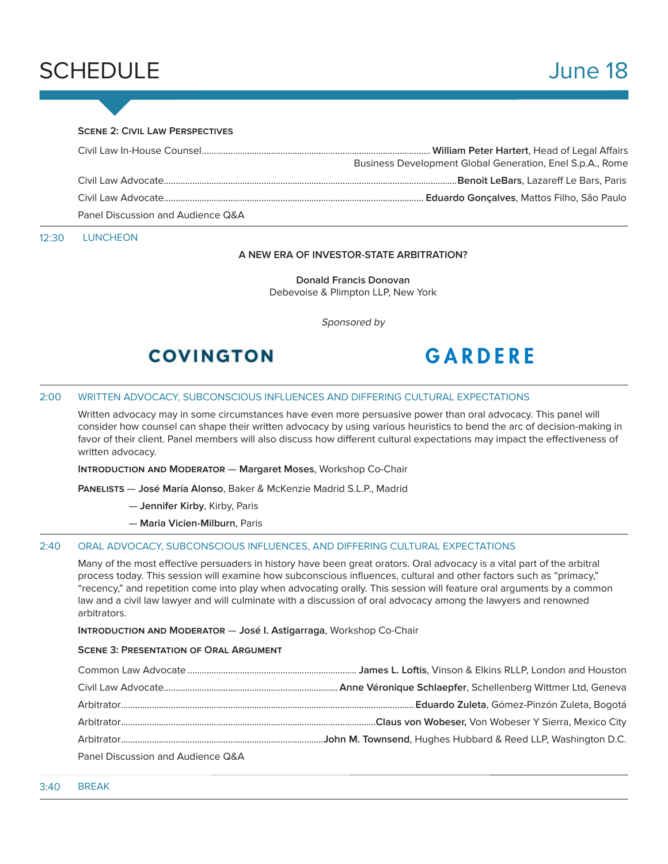# SCHEDULE June 18

#### **Scene 2: Civil Law Perspectives**

|                                   | Business Development Global Generation, Enel S.p.A., Rome |
|-----------------------------------|-----------------------------------------------------------|
|                                   |                                                           |
|                                   |                                                           |
| Panel Discussion and Audience Q&A |                                                           |

12:30 LUNCHEON

#### **A NEW ERA OF INVESTOR-STATE ARBITRATION?**

**Donald Francis Donovan** Debevoise & Plimpton LLP, New York

Sponsored by

GARDERE

# **COVINGTON**

### 2:00 WRITTEN ADVOCACY, SUBCONSCIOUS INFLUENCES AND DIFFERING CULTURAL EXPECTATIONS

Written advocacy may in some circumstances have even more persuasive power than oral advocacy. This panel will consider how counsel can shape their written advocacy by using various heuristics to bend the arc of decision-making in favor of their client. Panel members will also discuss how different cultural expectations may impact the effectiveness of written advocacy.

**Introduction and Moderator** — **Margaret Moses**, Workshop Co-Chair

**Panelists** — **José María Alonso**, Baker & McKenzie Madrid S.L.P., Madrid

— **Jennifer Kirby**, Kirby, Paris

— **Maria Vicien-Milburn**, Paris

#### 2:40 ORAL ADVOCACY, SUBCONSCIOUS INFLUENCES, AND DIFFERING CULTURAL EXPECTATIONS

Many of the most effective persuaders in history have been great orators. Oral advocacy is a vital part of the arbitral process today. This session will examine how subconscious influences, cultural and other factors such as "primacy," "recency," and repetition come into play when advocating orally. This session will feature oral arguments by a common law and a civil law lawyer and will culminate with a discussion of oral advocacy among the lawyers and renowned arbitrators.

**Introduction and Moderator** — **José I. Astigarraga**, Workshop Co-Chair

#### **Scene 3: Presentation of Oral Argument**

| Panel Discussion and Audience Q&A |  |
|-----------------------------------|--|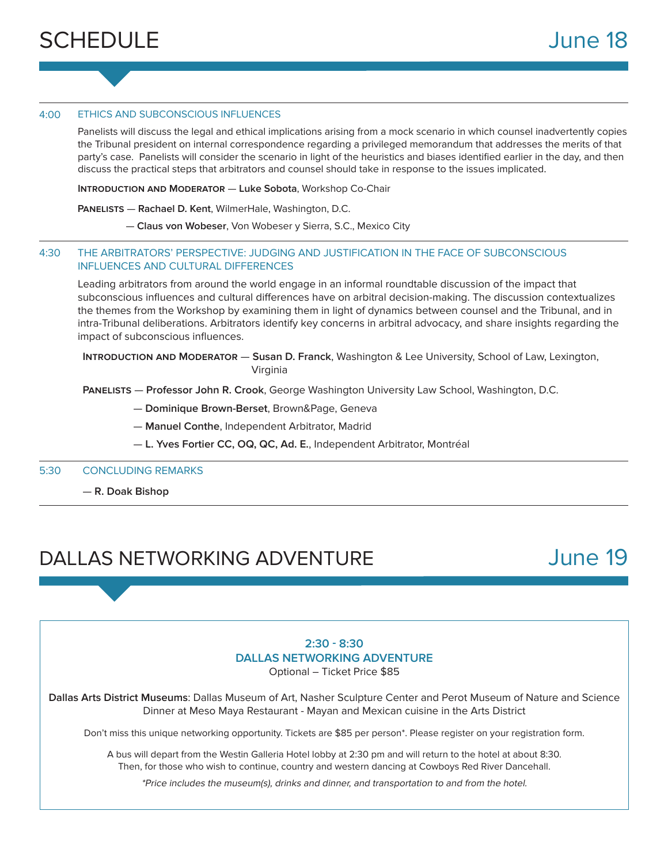

#### 4:00 ETHICS AND SUBCONSCIOUS INFLUENCES

Panelists will discuss the legal and ethical implications arising from a mock scenario in which counsel inadvertently copies the Tribunal president on internal correspondence regarding a privileged memorandum that addresses the merits of that party's case. Panelists will consider the scenario in light of the heuristics and biases identified earlier in the day, and then discuss the practical steps that arbitrators and counsel should take in response to the issues implicated.

**Introduction and Moderator** — **Luke Sobota**, Workshop Co-Chair

**Panelists** — **Rachael D. Kent**, WilmerHale, Washington, D.C.

— **Claus von Wobeser**, Von Wobeser y Sierra, S.C., Mexico City

#### 4:30 THE ARBITRATORS' PERSPECTIVE: JUDGING AND JUSTIFICATION IN THE FACE OF SUBCONSCIOUS INFLUENCES AND CULTURAL DIFFERENCES

Leading arbitrators from around the world engage in an informal roundtable discussion of the impact that subconscious influences and cultural differences have on arbitral decision-making. The discussion contextualizes the themes from the Workshop by examining them in light of dynamics between counsel and the Tribunal, and in intra-Tribunal deliberations. Arbitrators identify key concerns in arbitral advocacy, and share insights regarding the impact of subconscious influences.

**Introduction and Moderator** — **Susan D. Franck**, Washington & Lee University, School of Law, Lexington, Virginia

**Panelists** — **Professor John R. Crook**, George Washington University Law School, Washington, D.C.

- **Dominique Brown-Berset**, Brown&Page, Geneva
- **Manuel Conthe**, Independent Arbitrator, Madrid
- **L. Yves Fortier CC, OQ, QC, Ad. E.**, Independent Arbitrator, Montréal

#### 5:30 CONCLUDING REMARKS

— **R. Doak Bishop**

## DALLAS NETWORKING ADVENTURE THE SALL SUITE 19

**2:30 8:30 DALLAS NETWORKING ADVENTURE** Optional – Ticket Price \$85

**Dallas Arts District Museums**: Dallas Museum of Art, Nasher Sculpture Center and Perot Museum of Nature and Science Dinner at Meso Maya Restaurant - Mayan and Mexican cuisine in the Arts District

Don't miss this unique networking opportunity. Tickets are \$85 per person\*. Please register on your registration form.

A bus will depart from the Westin Galleria Hotel lobby at 2:30 pm and will return to the hotel at about 8:30. Then, for those who wish to continue, country and western dancing at Cowboys Red River Dancehall.

\*Price includes the museum(s), drinks and dinner, and transportation to and from the hotel.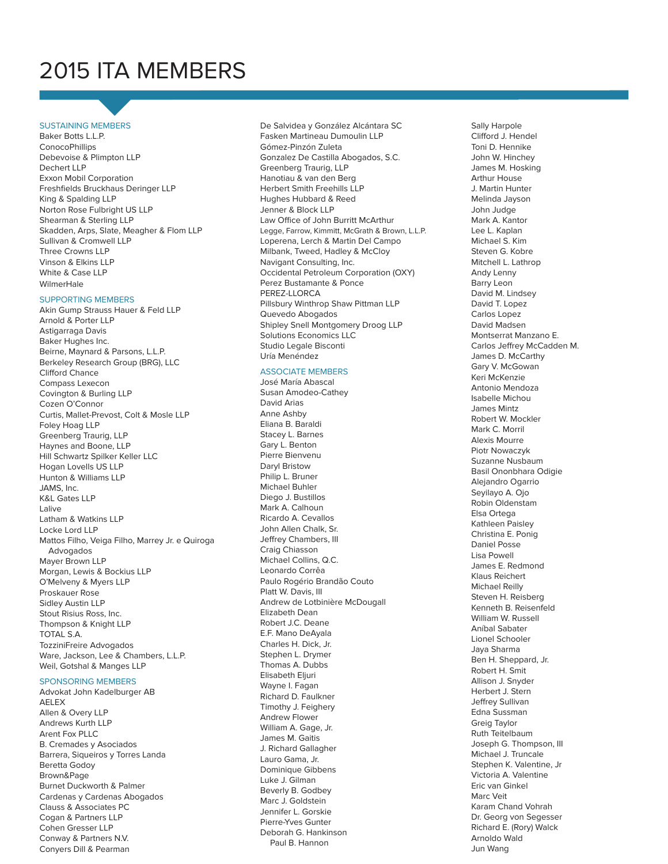# 2015 ITA MEMBERS

#### SUSTAINING MEMBERS

Baker Botts L.L.P. **ConocoPhillips** Debevoise & Plimpton LLP Dechert LLP Exxon Mobil Corporation Freshfields Bruckhaus Deringer LLP King & Spalding LLP Norton Rose Fulbright US LLP Shearman & Sterling LLP Skadden, Arps, Slate, Meagher & Flom LLP Sullivan & Cromwell LLP Three Crowns LLP Vinson & Elkins LLP White & Case LLP WilmerHale

#### SUPPORTING MEMBERS

Akin Gump Strauss Hauer & Feld LLP Arnold & Porter LLP Astigarraga Davis Baker Hughes Inc. Beirne, Maynard & Parsons, L.L.P. Berkeley Research Group (BRG), LLC Clifford Chance Compass Lexecon Covington & Burling LLP Cozen O'Connor Curtis, Mallet-Prevost, Colt & Mosle LLP Foley Hoag LLP Greenberg Traurig, LLP Haynes and Boone, LLP Hill Schwartz Spilker Keller LLC Hogan Lovells US LLP Hunton & Williams LLP JAMS, Inc. K&L Gates LLP Lalive Latham & Watkins LLP Locke Lord LLP Mattos Filho, Veiga Filho, Marrey Jr. e Quiroga Advogados Mayer Brown LLP Morgan, Lewis & Bockius LLP O'Melveny & Myers LLP Proskauer Rose Sidley Austin LLP Stout Risius Ross, Inc. Thompson & Knight LLP TOTAL S.A. TozziniFreire Advogados Ware, Jackson, Lee & Chambers, L.L.P. Weil, Gotshal & Manges LLP

#### SPONSORING MEMBERS

Advokat John Kadelburger AB AELEX Allen & Overy LLP Andrews Kurth LLP Arent Fox PLLC B. Cremades y Asociados Barrera, Siqueiros y Torres Landa Beretta Godoy Brown&Page Burnet Duckworth & Palmer Cardenas y Cardenas Abogados Clauss & Associates PC Cogan & Partners LLP Cohen Gresser LLP Conway & Partners N.V. Conyers Dill & Pearman

De Salvidea y González Alcántara SC Fasken Martineau Dumoulin LLP Gómez-Pinzón Zuleta Gonzalez De Castilla Abogados, S.C. Greenberg Traurig, LLP Hanotiau & van den Berg Herbert Smith Freehills LLP Hughes Hubbard & Reed Jenner & Block LLP Law Office of John Burritt McArthur Legge, Farrow, Kimmitt, McGrath & Brown, L.L.P. Loperena, Lerch & Martin Del Campo Milbank, Tweed, Hadley & McCloy Navigant Consulting, Inc. Occidental Petroleum Corporation (OXY) Perez Bustamante & Ponce PEREZ-LLORCA Pillsbury Winthrop Shaw Pittman LLP Quevedo Abogados Shipley Snell Montgomery Droog LLP Solutions Economics LLC Studio Legale Bisconti Uría Menéndez

#### ASSOCIATE MEMBERS

José María Abascal Susan Amodeo-Cathey David Arias Anne Ashby Eliana B. Baraldi Stacey L. Barnes Gary L. Benton Pierre Bienvenu Daryl Bristow Philip L. Bruner Michael Buhler Diego J. Bustillos Mark A. Calhoun Ricardo A. Cevallos John Allen Chalk, Sr. Jeffrey Chambers, III Craig Chiasson Michael Collins, Q.C. Leonardo Corrêa Paulo Rogério Brandão Couto Platt W. Davis, III Andrew de Lotbinière McDougall Elizabeth Dean Robert J.C. Deane E.F. Mano DeAyala Charles H. Dick, Jr. Stephen L. Drymer Thomas A. Dubbs Elisabeth Eljuri Wayne I. Fagan Richard D. Faulkner Timothy J. Feighery Andrew Flower William A. Gage, Jr. James M. Gaitis J. Richard Gallagher Lauro Gama, Jr. Dominique Gibbens Luke J. Gilman Beverly B. Godbey Marc J. Goldstein Jennifer L. Gorskie Pierre-Yves Gunter Deborah G. Hankinson Paul B. Hannon

Sally Harpole Clifford J. Hendel Toni D. Hennike John W. Hinchey James M. Hosking Arthur House J. Martin Hunter Melinda Jayson John Judge Mark A. Kantor Lee L. Kaplan Michael S. Kim Steven G. Kobre Mitchell L. Lathrop Andy Lenny Barry Leon David M. Lindsey David T. Lopez Carlos Lopez David Madsen Montserrat Manzano E. Carlos Jeffrey McCadden M. James D. McCarthy Gary V. McGowan Keri McKenzie Antonio Mendoza Isabelle Michou James Mintz Robert W. Mockler Mark C. Morril Alexis Mourre Piotr Nowaczyk Suzanne Nusbaum Basil Ononbhara Odigie Alejandro Ogarrio Seyilayo A. Ojo Robin Oldenstam Elsa Ortega Kathleen Paisley Christina E. Ponig Daniel Posse Lisa Powell James E. Redmond Klaus Reichert Michael Reilly Steven H. Reisberg Kenneth B. Reisenfeld William W. Russell Aníbal Sabater Lionel Schooler Jaya Sharma Ben H. Sheppard, Jr. Robert H. Smit Allison J. Snyder Herbert J. Stern Jeffrey Sullivan Edna Sussman Greig Taylor Ruth Teitelbaum Joseph G. Thompson, III Michael J. Truncale Stephen K. Valentine, Jr Victoria A. Valentine Eric van Ginkel Marc Veit Karam Chand Vohrah Dr. Georg von Segesser Richard E. (Rory) Walck Arnoldo Wald Jun Wang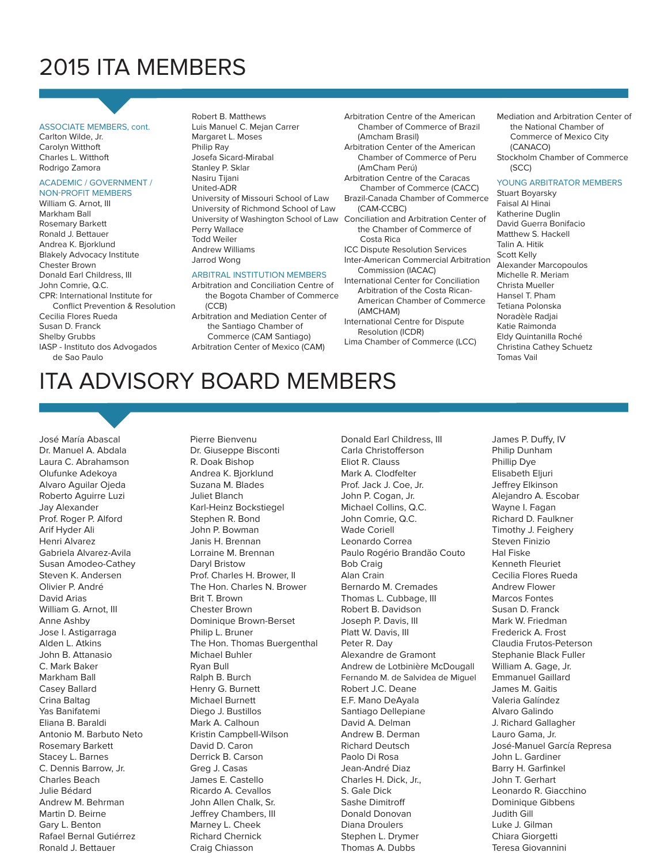# 2015 ITA MEMBERS

#### ASSOCIATE MEMBERS, cont.

Carlton Wilde, Jr. Carolyn Witthoft Charles L. Witthoft Rodrigo Zamora

#### ACADEMIC / GOVERNMENT /

NON-PROFIT MEMBERS William G. Arnot, III Markham Ball Rosemary Barkett Ronald J. Bettauer Andrea K. Bjorklund Blakely Advocacy Institute Chester Brown Donald Earl Childress, III John Comrie, Q.C. CPR: International Institute for Conflict Prevention & Resolution Cecilia Flores Rueda Susan D. Franck Shelby Grubbs IASP - Instituto dos Advogados de Sao Paulo

Robert B. Matthews Luis Manuel C. Mejan Carrer Margaret L. Moses Philip Ray Josefa Sicard-Mirabal Stanley P. Sklar Nasiru Tijani United-ADR University of Missouri School of Law University of Richmond School of Law University of Washington School of Law Perry Wallace Todd Weiler Andrew Williams Jarrod Wong

#### ARBITRAL INSTITUTION MEMBERS

- Arbitration and Conciliation Centre of the Bogota Chamber of Commerce (CCB)
- Arbitration and Mediation Center of the Santiago Chamber of Commerce (CAM Santiago) Arbitration Center of Mexico (CAM)

Arbitration Centre of the American Chamber of Commerce of Brazil (Amcham Brasil) Arbitration Center of the American Chamber of Commerce of Peru (AmCham Perú) Arbitration Centre of the Caracas Chamber of Commerce (CACC) Brazil-Canada Chamber of Commerce (CAM-CCBC) Conciliation and Arbitration Center of the Chamber of Commerce of Costa Rica ICC Dispute Resolution Services Inter-American Commercial Arbitration Commission (IACAC) International Center for Conciliation Arbitration of the Costa Rican- American Chamber of Commerce (AMCHAM) International Centre for Dispute Resolution (ICDR) Lima Chamber of Commerce (LCC)

Mediation and Arbitration Center of the National Chamber of Commerce of Mexico City (CANACO) Stockholm Chamber of Commerce (SCC)

#### YOUNG ARBITRATOR MEMBERS

Stuart Boyarsky Faisal Al Hinai Katherine Duglin David Guerra Bonifacio Matthew S. Hackell Talin A. Hitik Scott Kelly Alexander Marcopoulos Michelle R. Meriam Christa Mueller Hansel T. Pham Tetiana Polonska Noradèle Radjai Katie Raimonda Eldy Quintanilla Roché Christina Cathey Schuetz Tomas Vail

# ITA ADVISORY BOARD MEMBERS

José María Abascal Dr. Manuel A. Abdala Laura C. Abrahamson Olufunke Adekoya Alvaro Aguilar Ojeda Roberto Aguirre Luzi Jay Alexander Prof. Roger P. Alford Arif Hyder Ali Henri Alvarez Gabriela Alvarez-Avila Susan Amodeo-Cathey Steven K. Andersen Olivier P. André David Arias William G. Arnot, III Anne Ashby Jose I. Astigarraga Alden L. Atkins John B. Attanasio C. Mark Baker Markham Ball Casey Ballard Crina Baltag Yas Banifatemi Eliana B. Baraldi Antonio M. Barbuto Neto Rosemary Barkett Stacey L. Barnes C. Dennis Barrow, Jr. Charles Beach Julie Bédard Andrew M. Behrman Martin D. Beirne Gary L. Benton Rafael Bernal Gutiérrez Ronald J. Bettauer

Pierre Bienvenu Dr. Giuseppe Bisconti R. Doak Bishop Andrea K. Bjorklund Suzana M. Blades Juliet Blanch Karl-Heinz Bockstiegel Stephen R. Bond John P. Bowman Janis H. Brennan Lorraine M. Brennan Daryl Bristow Prof. Charles H. Brower, II The Hon. Charles N. Brower Brit T. Brown Chester Brown Dominique Brown-Berset Philip L. Bruner The Hon. Thomas Buergenthal Michael Buhler Ryan Bull Ralph B. Burch Henry G. Burnett Michael Burnett Diego J. Bustillos Mark A. Calhoun Kristin Campbell-Wilson David D. Caron Derrick B. Carson Greg J. Casas James E. Castello Ricardo A. Cevallos John Allen Chalk, Sr. Jeffrey Chambers, III Marney L. Cheek Richard Chernick Craig Chiasson

Donald Earl Childress, III Carla Christofferson Eliot R. Clauss Mark A. Clodfelter Prof. Jack J. Coe, Jr. John P. Cogan, Jr. Michael Collins, Q.C. John Comrie, Q.C. Wade Coriell Leonardo Correa Paulo Rogério Brandão Couto Bob Craig Alan Crain Bernardo M. Cremades Thomas L. Cubbage, III Robert B. Davidson Joseph P. Davis, III Platt W. Davis, III Peter R. Day Alexandre de Gramont Andrew de Lotbinière McDougall Fernando M. de Salvidea de Miguel Robert J.C. Deane E.F. Mano DeAyala Santiago Dellepiane David A. Delman Andrew B. Derman Richard Deutsch Paolo Di Rosa Jean-André Diaz Charles H. Dick, Jr., S. Gale Dick Sashe Dimitroff Donald Donovan Diana Droulers Stephen L. Drymer Thomas A. Dubbs

James P. Duffy, IV Philip Dunham Phillip Dye Elisabeth Eljuri Jeffrey Elkinson Alejandro A. Escobar Wayne I. Fagan Richard D. Faulkner Timothy J. Feighery Steven Finizio Hal Fiske Kenneth Fleuriet Cecilia Flores Rueda Andrew Flower Marcos Fontes Susan D. Franck Mark W. Friedman Frederick A. Frost Claudia Frutos-Peterson Stephanie Black Fuller William A. Gage, Jr. Emmanuel Gaillard James M. Gaitis Valeria Galíndez Alvaro Galindo J. Richard Gallagher Lauro Gama, Jr. José-Manuel García Represa John L. Gardiner Barry H. Garfinkel John T. Gerhart Leonardo R. Giacchino Dominique Gibbens Judith Gill Luke J. Gilman Chiara Giorgetti Teresa Giovannini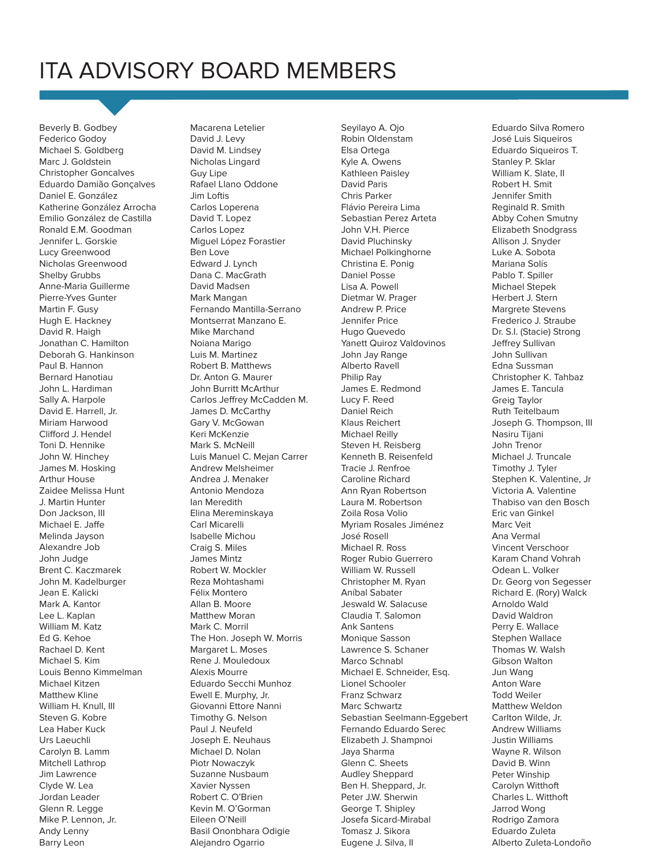# ITA ADVISORY BOARD MEMBERS

Beverly B. Godbey Federico Godoy Michael S. Goldberg Marc J. Goldstein Christopher Goncalves Eduardo Damião Gonçalves Daniel E. González Katherine González Arrocha Emilio González de Castilla Ronald E.M. Goodman Jennifer L. Gorskie Lucy Greenwood Nicholas Greenwood Shelby Grubbs Anne-Maria Guillerme Pierre-Yves Gunter Martin F. Gusy Hugh E. Hackney David R. Haigh Jonathan C. Hamilton Deborah G. Hankinson Paul B. Hannon Bernard Hanotiau John L. Hardiman Sally A. Harpole David E. Harrell, Jr. Miriam Harwood Clifford | Hendel Toni D. Hennike John W. Hinchey James M. Hosking Arthur House Zaidee Melissa Hunt J. Martin Hunter Don Jackson, III Michael E. Jaffe Melinda Jayson Alexandre Job John Judge Brent C. Kaczmarek John M. Kadelburger Jean E. Kalicki Mark A. Kantor Lee L. Kaplan William M. Katz Ed G. Kehoe Rachael D. Kent Michael S. Kim Louis Benno Kimmelman Michael Kitzen Matthew Kline William H. Knull, III Steven G. Kobre Lea Haber Kuck Urs Laeuchli Carolyn B. Lamm Mitchell Lathrop Jim Lawrence Clyde W. Lea Jordan Leader Glenn R. Legge Mike P. Lennon, Jr. Andy Lenny Barry Leon

Macarena Letelier David J. Levy David M. Lindsey Nicholas Lingard Guy Lipe Rafael Llano Oddone Jim Loftis Carlos Loperena David T. Lopez Carlos Lopez Miguel López Forastier Ben Love Edward J. Lynch Dana C. MacGrath David Madsen Mark Mangan Fernando Mantilla-Serrano Montserrat Manzano E. Mike Marchand Noiana Marigo Luis M. Martinez Robert B. Matthews Dr. Anton G. Maurer John Burritt McArthur Carlos Jeffrey McCadden M. James D. McCarthy Gary V. McGowan Keri McKenzie Mark S. McNeill Luis Manuel C. Mejan Carrer Andrew Melsheimer Andrea J. Menaker Antonio Mendoza Ian Meredith Elina Mereminskaya Carl Micarelli Isabelle Michou Craig S. Miles James Mintz Robert W. Mockler Reza Mohtashami Félix Montero Allan B. Moore Matthew Moran Mark C. Morril The Hon. Joseph W. Morris Margaret L. Moses Rene J. Mouledoux Alexis Mourre Eduardo Secchi Munhoz Ewell E. Murphy, Jr. Giovanni Ettore Nanni Timothy G. Nelson Paul J. Neufeld Joseph E. Neuhaus Michael D. Nolan Piotr Nowaczyk Suzanne Nusbaum Xavier Nyssen Robert C. O'Brien Kevin M. O'Gorman Eileen O'Neill Basil Ononbhara Odigie Alejandro Ogarrio

Seyilayo A. Ojo Robin Oldenstam Elsa Ortega Kyle A. Owens Kathleen Paisley David Paris Chris Parker Flávio Pereira Lima Sebastian Perez Arteta John V.H. Pierce David Pluchinsky Michael Polkinghorne Christina E. Ponig Daniel Posse Lisa A. Powell Dietmar W. Prager Andrew P. Price Jennifer Price Hugo Quevedo Yanett Quiroz Valdovinos John Jay Range Alberto Ravell Philip Ray James E. Redmond Lucy F. Reed Daniel Reich Klaus Reichert Michael Reilly Steven H. Reisberg Kenneth B. Reisenfeld Tracie J. Renfroe Caroline Richard Ann Ryan Robertson Laura M. Robertson Zoila Rosa Volio Myriam Rosales Jiménez José Rosell Michael R. Ross Roger Rubio Guerrero William W. Russell Christopher M. Ryan Aníbal Sabater Jeswald W. Salacuse Claudia T. Salomon Ank Santens Monique Sasson Lawrence S. Schaner Marco Schnabl Michael E. Schneider, Esq. Lionel Schooler Franz Schwarz Marc Schwartz Sebastian Seelmann-Eggebert Fernando Eduardo Serec Elizabeth J. Shampnoi Jaya Sharma Glenn C. Sheets Audley Sheppard Ben H. Sheppard, Jr. Peter J.W. Sherwin George T. Shipley Josefa Sicard-Mirabal Tomasz J. Sikora Eugene J. Silva, II

Eduardo Silva Romero José Luis Siqueiros Eduardo Siqueiros T. Stanley P. Sklar William K. Slate, II Robert H. Smit Jennifer Smith Reginald R. Smith Abby Cohen Smutny Elizabeth Snodgrass Allison J. Snyder Luke A. Sobota Mariana Solís Pablo T. Spiller Michael Stepek Herbert J. Stern Margrete Stevens Frederico J. Straube Dr. S.I. (Stacie) Strong Jeffrey Sullivan John Sullivan Edna Sussman Christopher K. Tahbaz James E. Tancula Greig Taylor Ruth Teitelbaum Joseph G. Thompson, III Nasiru Tijani John Trenor Michael J. Truncale Timothy J. Tyler Stephen K. Valentine, Jr Victoria A. Valentine Thabiso van den Bosch Eric van Ginkel Marc Veit Ana Vermal Vincent Verschoor Karam Chand Vohrah Odean L. Volker Dr. Georg von Segesser Richard E. (Rory) Walck Arnoldo Wald David Waldron Perry E. Wallace Stephen Wallace Thomas W. Walsh Gibson Walton Jun Wang Anton Ware Todd Weiler Matthew Weldon Carlton Wilde, Jr. Andrew Williams Justin Williams Wayne R. Wilson David B. Winn Peter Winship Carolyn Witthoft Charles L. Witthoft Jarrod Wong Rodrigo Zamora Eduardo Zuleta Alberto Zuleta-Londoño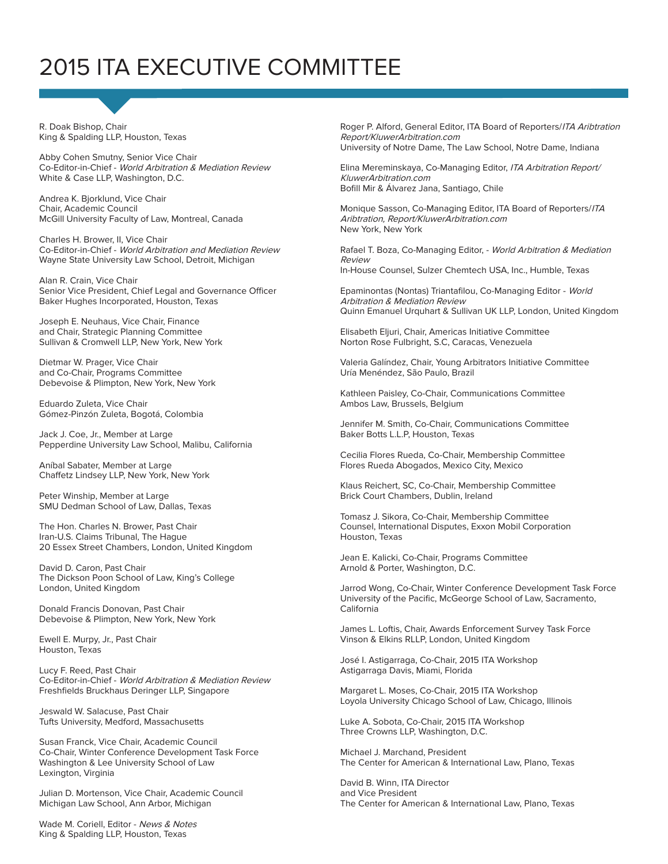# 2015 ITA EXECUTIVE COMMITTEE

R. Doak Bishop, Chair King & Spalding LLP, Houston, Texas

Abby Cohen Smutny, Senior Vice Chair Co-Editor-in-Chief - World Arbitration & Mediation Review White & Case LLP, Washington, D.C.

Andrea K. Bjorklund, Vice Chair Chair, Academic Council McGill University Faculty of Law, Montreal, Canada

Charles H. Brower, II, Vice Chair Co-Editor-in-Chief - World Arbitration and Mediation Review Wayne State University Law School, Detroit, Michigan

Alan R. Crain, Vice Chair Senior Vice President, Chief Legal and Governance Officer Baker Hughes Incorporated, Houston, Texas

Joseph E. Neuhaus, Vice Chair, Finance and Chair, Strategic Planning Committee Sullivan & Cromwell LLP, New York, New York

Dietmar W. Prager, Vice Chair and Co-Chair, Programs Committee Debevoise & Plimpton, New York, New York

Eduardo Zuleta, Vice Chair Gómez-Pinzón Zuleta, Bogotá, Colombia

Jack J. Coe, Jr., Member at Large Pepperdine University Law School, Malibu, California

Aníbal Sabater, Member at Large Chaffetz Lindsey LLP, New York, New York

Peter Winship, Member at Large SMU Dedman School of Law, Dallas, Texas

The Hon. Charles N. Brower, Past Chair Iran-U.S. Claims Tribunal, The Hague 20 Essex Street Chambers, London, United Kingdom

David D. Caron, Past Chair The Dickson Poon School of Law, King's College London, United Kingdom

Donald Francis Donovan, Past Chair Debevoise & Plimpton, New York, New York

Ewell E. Murpy, Jr., Past Chair Houston, Texas

Lucy F. Reed, Past Chair Co-Editor-in-Chief - World Arbitration & Mediation Review Freshfields Bruckhaus Deringer LLP, Singapore

Jeswald W. Salacuse, Past Chair Tufts University, Medford, Massachusetts

Susan Franck, Vice Chair, Academic Council Co-Chair, Winter Conference Development Task Force Washington & Lee University School of Law Lexington, Virginia

Julian D. Mortenson, Vice Chair, Academic Council Michigan Law School, Ann Arbor, Michigan

Wade M. Coriell, Editor - News & Notes King & Spalding LLP, Houston, Texas

Roger P. Alford, General Editor, ITA Board of Reporters/ITA Aribtration Report/KluwerArbitration.com University of Notre Dame, The Law School, Notre Dame, Indiana

Elina Mereminskaya, Co-Managing Editor, ITA Arbitration Report/ KluwerArbitration.com Bofill Mir & Álvarez Jana, Santiago, Chile

Monique Sasson, Co-Managing Editor, ITA Board of Reporters/ITA Aribtration, Report/KluwerArbitration.com New York, New York

Rafael T. Boza, Co-Managing Editor, - World Arbitration & Mediation Review In-House Counsel, Sulzer Chemtech USA, Inc., Humble, Texas

Epaminontas (Nontas) Triantafilou, Co-Managing Editor - World Arbitration & Mediation Review Quinn Emanuel Urquhart & Sullivan UK LLP, London, United Kingdom

Elisabeth Eljuri, Chair, Americas Initiative Committee Norton Rose Fulbright, S.C, Caracas, Venezuela

Valeria Galíndez, Chair, Young Arbitrators Initiative Committee Uría Menéndez, São Paulo, Brazil

Kathleen Paisley, Co-Chair, Communications Committee Ambos Law, Brussels, Belgium

Jennifer M. Smith, Co-Chair, Communications Committee Baker Botts L.L.P, Houston, Texas

Cecilia Flores Rueda, Co-Chair, Membership Committee Flores Rueda Abogados, Mexico City, Mexico

Klaus Reichert, SC, Co-Chair, Membership Committee Brick Court Chambers, Dublin, Ireland

Tomasz J. Sikora, Co-Chair, Membership Committee Counsel, International Disputes, Exxon Mobil Corporation Houston, Texas

Jean E. Kalicki, Co-Chair, Programs Committee Arnold & Porter, Washington, D.C.

Jarrod Wong, Co-Chair, Winter Conference Development Task Force University of the Pacific, McGeorge School of Law, Sacramento, California

James L. Loftis, Chair, Awards Enforcement Survey Task Force Vinson & Elkins RLLP, London, United Kingdom

José I. Astigarraga, Co-Chair, 2015 ITA Workshop Astigarraga Davis, Miami, Florida

Margaret L. Moses, Co-Chair, 2015 ITA Workshop Loyola University Chicago School of Law, Chicago, Illinois

Luke A. Sobota, Co-Chair, 2015 ITA Workshop Three Crowns LLP, Washington, D.C.

Michael J. Marchand, President The Center for American & International Law, Plano, Texas

David B. Winn, ITA Director and Vice President The Center for American & International Law, Plano, Texas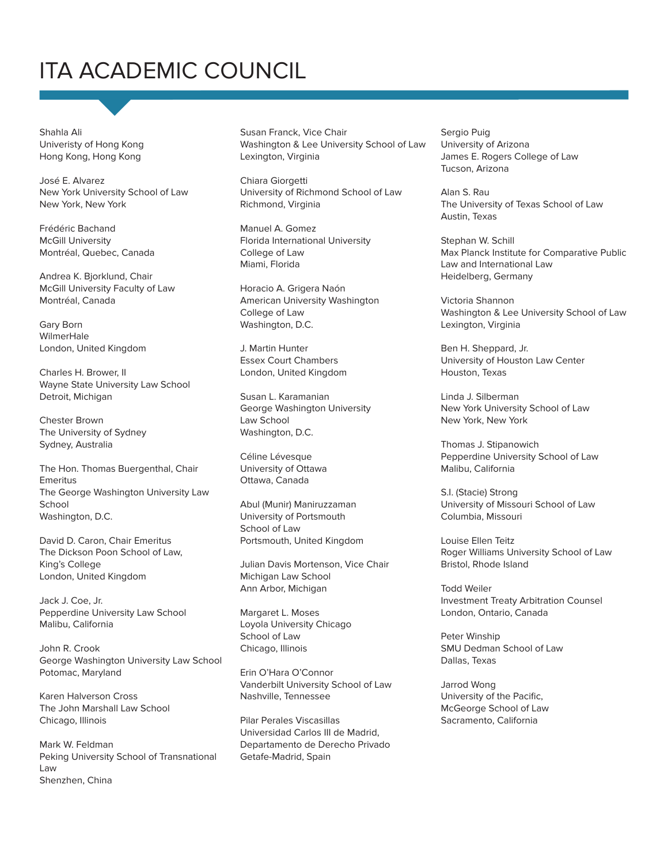# ITA ACADEMIC COUNCIL

Shahla Ali Univeristy of Hong Kong Hong Kong, Hong Kong

José E. Alvarez New York University School of Law New York, New York

Frédéric Bachand McGill University Montréal, Quebec, Canada

Andrea K. Bjorklund, Chair McGill University Faculty of Law Montréal, Canada

Gary Born WilmerHale London, United Kingdom

Charles H. Brower, II Wayne State University Law School Detroit, Michigan

Chester Brown The University of Sydney Sydney, Australia

The Hon. Thomas Buergenthal, Chair Emeritus The George Washington University Law School Washington, D.C.

David D. Caron, Chair Emeritus The Dickson Poon School of Law, King's College London, United Kingdom

Jack J. Coe, Jr. Pepperdine University Law School Malibu, California

John R. Crook George Washington University Law School Potomac, Maryland

Karen Halverson Cross The John Marshall Law School Chicago, Illinois

Mark W. Feldman Peking University School of Transnational Law Shenzhen, China

Susan Franck, Vice Chair Washington & Lee University School of Law Lexington, Virginia

Chiara Giorgetti University of Richmond School of Law Richmond, Virginia

Manuel A. Gomez Florida International University College of Law Miami, Florida

Horacio A. Grigera Naón American University Washington College of Law Washington, D.C.

J. Martin Hunter Essex Court Chambers London, United Kingdom

Susan L. Karamanian George Washington University Law School Washington, D.C.

Céline Lévesque University of Ottawa Ottawa, Canada

Abul (Munir) Maniruzzaman University of Portsmouth School of Law Portsmouth, United Kingdom

Julian Davis Mortenson, Vice Chair Michigan Law School Ann Arbor, Michigan

Margaret L. Moses Loyola University Chicago School of Law Chicago, Illinois

Erin O'Hara O'Connor Vanderbilt University School of Law Nashville, Tennessee

Pilar Perales Viscasillas Universidad Carlos III de Madrid, Departamento de Derecho Privado Getafe-Madrid, Spain

Sergio Puig University of Arizona James E. Rogers College of Law Tucson, Arizona

Alan S. Rau The University of Texas School of Law Austin, Texas

Stephan W. Schill Max Planck Institute for Comparative Public Law and International Law Heidelberg, Germany

Victoria Shannon Washington & Lee University School of Law Lexington, Virginia

Ben H. Sheppard, Jr. University of Houston Law Center Houston, Texas

Linda J. Silberman New York University School of Law New York, New York

Thomas J. Stipanowich Pepperdine University School of Law Malibu, California

S.I. (Stacie) Strong University of Missouri School of Law Columbia, Missouri

Louise Ellen Teitz Roger Williams University School of Law Bristol, Rhode Island

Todd Weiler Investment Treaty Arbitration Counsel London, Ontario, Canada

Peter Winship SMU Dedman School of Law Dallas, Texas

Jarrod Wong University of the Pacific, McGeorge School of Law Sacramento, California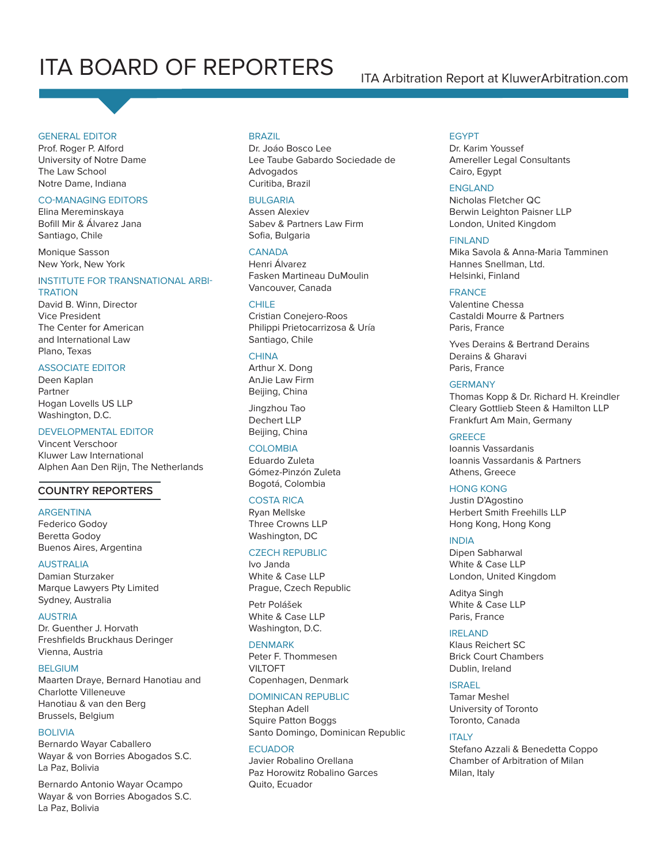# ITA BOARD OF REPORTERS **ITA Arbitration Report at KluwerArbitration.com**

#### GENERAL EDITOR

Prof. Roger P. Alford University of Notre Dame The Law School Notre Dame, Indiana

#### **CO-MANAGING EDITORS**

Elina Mereminskaya Bofill Mir & Álvarez Jana Santiago, Chile

Monique Sasson New York, New York

#### INSTITUTE FOR TRANSNATIONAL ARBI **TRATION**

David B. Winn, Director Vice President The Center for American and International Law Plano, Texas

#### ASSOCIATE EDITOR

Deen Kaplan Partner Hogan Lovells US LLP Washington, D.C.

DEVELOPMENTAL EDITOR

Vincent Verschoor Kluwer Law International Alphen Aan Den Rijn, The Netherlands

#### **COUNTRY REPORTERS**

#### ARGENTINA

Federico Godoy Beretta Godoy Buenos Aires, Argentina

AUSTRALIA

Damian Sturzaker Marque Lawyers Pty Limited Sydney, Australia

AUSTRIA Dr. Guenther J. Horvath Freshfields Bruckhaus Deringer Vienna, Austria

#### **BELGIUM**

Maarten Draye, Bernard Hanotiau and Charlotte Villeneuve Hanotiau & van den Berg Brussels, Belgium

#### BOLIVIA

Bernardo Wayar Caballero Wayar & von Borries Abogados S.C. La Paz, Bolivia

Bernardo Antonio Wayar Ocampo Wayar & von Borries Abogados S.C. La Paz, Bolivia

#### BRAZIL

Dr. Joáo Bosco Lee Lee Taube Gabardo Sociedade de Advogados Curitiba, Brazil

#### **BULGARIA**

Assen Alexiev Sabev & Partners Law Firm Sofia, Bulgaria

#### **CANADA**

Henri Álvarez Fasken Martineau DuMoulin Vancouver, Canada

### CHILE

Cristian Conejero-Roos Philippi Prietocarrizosa & Uría Santiago, Chile

#### **CHINA**

Arthur X. Dong AnJie Law Firm Beijing, China

Jingzhou Tao Dechert LLP Beijing, China

#### **COLOMBIA**

Eduardo Zuleta Gómez-Pinzón Zuleta Bogotá, Colombia

#### COSTA RICA

Ryan Mellske Three Crowns LLP Washington, DC

#### CZECH REPUBLIC

Ivo Janda White & Case LLP Prague, Czech Republic

Petr Polášek White & Case LLP Washington, D.C.

#### DENMARK

Peter F. Thommesen VILTOFT Copenhagen, Denmark

#### DOMINICAN REPUBLIC

Stephan Adell Squire Patton Boggs Santo Domingo, Dominican Republic

#### **ECUADOR**

Javier Robalino Orellana Paz Horowitz Robalino Garces Quito, Ecuador

#### EGYPT

Dr. Karim Youssef Amereller Legal Consultants Cairo, Egypt

#### ENGLAND

Nicholas Fletcher QC Berwin Leighton Paisner LLP London, United Kingdom

#### FINLAND

Mika Savola & Anna-Maria Tamminen Hannes Snellman, Ltd. Helsinki, Finland

#### FRANCE

Valentine Chessa Castaldi Mourre & Partners Paris, France

Yves Derains & Bertrand Derains Derains & Gharavi Paris, France

#### GERMANY

Thomas Kopp & Dr. Richard H. Kreindler Cleary Gottlieb Steen & Hamilton LLP Frankfurt Am Main, Germany

#### **GREECE**

Ioannis Vassardanis Ioannis Vassardanis & Partners Athens, Greece

#### HONG KONG

Justin D'Agostino Herbert Smith Freehills LLP Hong Kong, Hong Kong

#### INDIA

Dipen Sabharwal White & Case LLP London, United Kingdom

Aditya Singh White & Case LLP Paris, France

#### IRELAND

Klaus Reichert SC Brick Court Chambers Dublin, Ireland

#### ISRAEL

Tamar Meshel University of Toronto Toronto, Canada

#### **ITALY**

Stefano Azzali & Benedetta Coppo Chamber of Arbitration of Milan Milan, Italy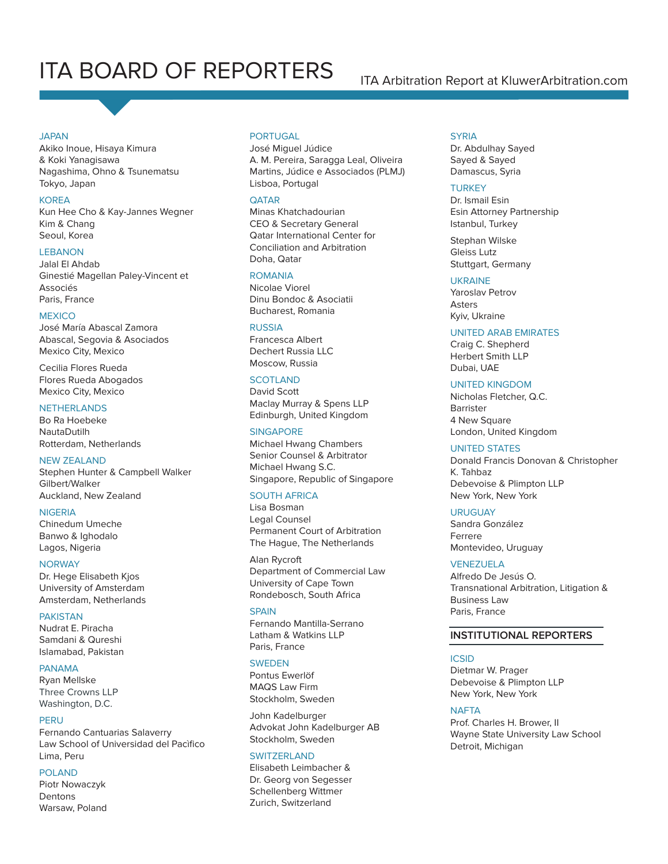# ITA BOARD OF REPORTERS ITA Arbitration Report at KluwerArbitration.com

#### JAPAN

Akiko Inoue, Hisaya Kimura & Koki Yanagisawa Nagashima, Ohno & Tsunematsu Tokyo, Japan

#### KOREA

Kun Hee Cho & Kay-Jannes Wegner Kim & Chang Seoul, Korea

#### LEBANON

Jalal El Ahdab Ginestié Magellan Paley-Vincent et Associés Paris, France

#### **MEXICO**

José María Abascal Zamora Abascal, Segovia & Asociados Mexico City, Mexico

Cecilia Flores Rueda Flores Rueda Abogados Mexico City, Mexico

### **NETHERLANDS**

Bo Ra Hoebeke NautaDutilh Rotterdam, Netherlands

#### NEW ZEALAND

Stephen Hunter & Campbell Walker Gilbert/Walker Auckland, New Zealand

#### NIGERIA

Chinedum Umeche Banwo & Ighodalo Lagos, Nigeria

#### **NORWAY**

Dr. Hege Elisabeth Kjos University of Amsterdam Amsterdam, Netherlands

#### PAKISTAN

Nudrat E. Piracha Samdani & Qureshi Islamabad, Pakistan

#### PANAMA

Ryan Mellske Three Crowns LLP Washington, D.C.

#### PERU

Fernando Cantuarias Salaverry Law School of Universidad del Pacìfico Lima, Peru

#### POLAND

Piotr Nowaczyk Dentons Warsaw, Poland

#### **PORTUGAL**

José Miguel Júdice A. M. Pereira, Saragga Leal, Oliveira Martins, Júdice e Associados (PLMJ) Lisboa, Portugal

#### **QATAR**

Minas Khatchadourian CEO & Secretary General Qatar International Center for Conciliation and Arbitration Doha, Qatar

#### ROMANIA

Nicolae Viorel Dinu Bondoc & Asociatii Bucharest, Romania

#### RUSSIA

Francesca Albert Dechert Russia LLC Moscow, Russia

#### **SCOTLAND**

David Scott Maclay Murray & Spens LLP Edinburgh, United Kingdom

#### **SINGAPORE**

Michael Hwang Chambers Senior Counsel & Arbitrator Michael Hwang S.C. Singapore, Republic of Singapore

#### SOUTH AFRICA

Lisa Bosman Legal Counsel Permanent Court of Arbitration The Hague, The Netherlands

Alan Rycroft Department of Commercial Law University of Cape Town Rondebosch, South Africa

### **SPAIN**

Fernando Mantilla-Serrano Latham & Watkins LLP Paris, France

#### **SWEDEN**

Pontus Ewerlöf MAQS Law Firm Stockholm, Sweden

John Kadelburger Advokat John Kadelburger AB Stockholm, Sweden

#### SWITZERI AND

Elisabeth Leimbacher & Dr. Georg von Segesser Schellenberg Wittmer Zurich, Switzerland

#### **SYRIA**

Dr. Abdulhay Sayed Sayed & Sayed Damascus, Syria

#### **TURKEY**

Dr. Ismail Esin Esin Attorney Partnership Istanbul, Turkey

Stephan Wilske Gleiss Lutz Stuttgart, Germany

#### UKRAINE

Yaroslav Petrov Asters Kyiv, Ukraine

#### UNITED ARAB EMIRATES

Craig C. Shepherd Herbert Smith LLP Dubai, UAE

#### UNITED KINGDOM

Nicholas Fletcher, Q.C. Barrister 4 New Square London, United Kingdom

#### UNITED STATES

Donald Francis Donovan & Christopher K. Tahbaz Debevoise & Plimpton LLP New York, New York

#### URUGUAY

Sandra González Ferrere Montevideo, Uruguay

#### VENEZUELA

Alfredo De Jesús O. Transnational Arbitration, Litigation & Business Law Paris, France

### **INSTITUTIONAL REPORTERS**

#### ICSID

Dietmar W. Prager Debevoise & Plimpton LLP New York, New York

#### **NAFTA**

Prof. Charles H. Brower, II Wayne State University Law School Detroit, Michigan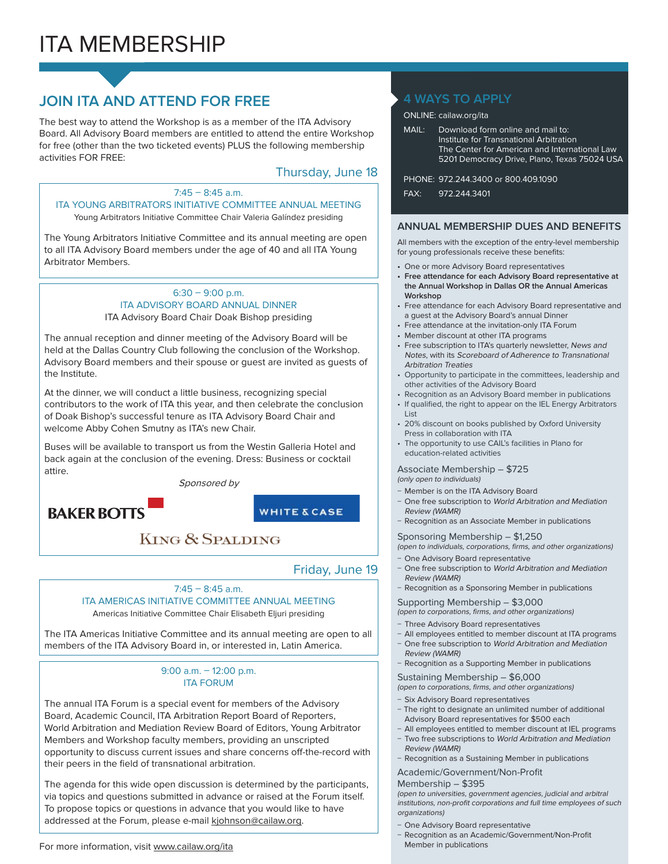# ITA MEMBERSHIP

## **JOIN ITA AND ATTEND FOR FREE**

The best way to attend the Workshop is as a member of the ITA Advisory Board. All Advisory Board members are entitled to attend the entire Workshop for free (other than the two ticketed events) PLUS the following membership activities FOR FREE:

### Thursday, June 18

### ITA YOUNG ARBITRATORS INITIATIVE COMMITTEE ANNUAL MEETING Young Arbitrators Initiative Committee Chair Valeria Galíndez presiding

The Young Arbitrators Initiative Committee and its annual meeting are open to all ITA Advisory Board members under the age of 40 and all ITA Young Arbitrator Members.

#### $6:30 - 9:00$  p.m. ITA ADVISORY BOARD ANNUAL DINNER ITA Advisory Board Chair Doak Bishop presiding

The annual reception and dinner meeting of the Advisory Board will be held at the Dallas Country Club following the conclusion of the Workshop. Advisory Board members and their spouse or guest are invited as guests of the Institute.

At the dinner, we will conduct a little business, recognizing special contributors to the work of ITA this year, and then celebrate the conclusion of Doak Bishop's successful tenure as ITA Advisory Board Chair and welcome Abby Cohen Smutny as ITA's new Chair.

Buses will be available to transport us from the Westin Galleria Hotel and back again at the conclusion of the evening. Dress: Business or cocktail attire.

Sponsored by

**BAKER BOTTS** 

### **WHITE & CASE**

## KING & SPALDING

### Friday, June 19

#### $7:45 - 8:45$  a.m. ITA AMERICAS INITIATIVE COMMITTEE ANNUAL MEETING Americas Initiative Committee Chair Elisabeth Eljuri presiding

The ITA Americas Initiative Committee and its annual meeting are open to all members of the ITA Advisory Board in, or interested in, Latin America.

#### 9:00 a.m.  $-$  12:00 p.m. ITA FORUM

The annual ITA Forum is a special event for members of the Advisory Board, Academic Council, ITA Arbitration Report Board of Reporters, World Arbitration and Mediation Review Board of Editors, Young Arbitrator Members and Workshop faculty members, providing an unscripted opportunity to discuss current issues and share concerns off -the-record with their peers in the field of transnational arbitration.

The agenda for this wide open discussion is determined by the participants, via topics and questions submitted in advance or raised at the Forum itself. To propose topics or questions in advance that you would like to have addressed at the Forum, please e-mail kjohnson@cailaw.org.

#### For more information, visit www.cailaw.org/ita

### **4 WAYS TO APPLY**

#### ONLINE: cailaw.org/ita

MAIL: Download form online and mail to: Institute for Transnational Arbitration The Center for American and International Law 5201 Democracy Drive, Plano, Texas 75024 USA

#### PHONE: 972.244.3400 or 800.409.1090

7:45 - 8:45 a.m. FAX: 972.244.3401

#### **ANNUAL MEMBERSHIP DUES AND BENEFITS**

All members with the exception of the entry-level membership for young professionals receive these benefits:

- One or more Advisory Board representatives
- **Free attendance for each Advisory Board representative at the Annual Workshop in Dallas OR the Annual Americas Workshop**
- Free attendance for each Advisory Board representative and a guest at the Advisory Board's annual Dinner
- Free attendance at the invitation-only ITA Forum
- Member discount at other ITA programs
- Free subscription to ITA's quarterly newsletter, News and Notes, with its Scoreboard of Adherence to Transnational Arbitration Treaties
- Opportunity to participate in the committees, leadership and other activities of the Advisory Board
- Recognition as an Advisory Board member in publications
	- If qualified, the right to appear on the IEL Energy Arbitrators List
	- 20% discount on books published by Oxford University Press in collaboration with ITA
	- The opportunity to use CAIL's facilities in Plano for education-related activities

Associate Membership – \$725 (only open to individuals)

- − Member is on the ITA Advisory Board
- − One free subscription to World Arbitration and Mediation Review (WAMR)
- − Recognition as an Associate Member in publications

Sponsoring Membership – \$1,250

- (open to individuals, corporations, firms, and other organizations) − One Advisory Board representative
- − One free subscription to World Arbitration and Mediation Review (WAMR)
- − Recognition as a Sponsoring Member in publications

Supporting Membership – \$3,000

- (open to corporations, firms, and other organizations)
- − Three Advisory Board representatives
- − All employees entitled to member discount at ITA programs − One free subscription to World Arbitration and Mediation
- Review (WAMR) − Recognition as a Supporting Member in publications
- Sustaining Membership \$6,000

(open to corporations, firms, and other organizations)

- − Six Advisory Board representatives
- − The right to designate an unlimited number of additional Advisory Board representatives for \$500 each
- − All employees entitled to member discount at IEL programs − Two free subscriptions to World Arbitration and Mediation Review (WAMR)
- − Recognition as a Sustaining Member in publications

#### Academic/Government/Non-Profit

#### Membership – \$395

(open to universities, government agencies, judicial and arbitral institutions, non-profit corporations and full time employees of such organizations)

- − One Advisory Board representative
- − Recognition as an Academic/Government/Non-Profi t Member in publications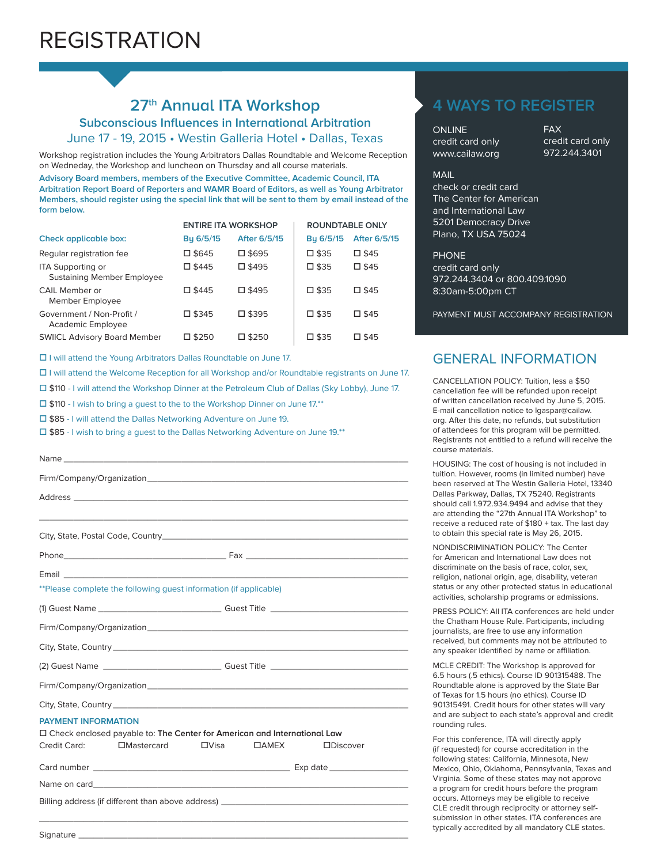### **27th Annual ITA Workshop Subconscious Influences in International Arbitration**

June 17 - 19, 2015 • Westin Galleria Hotel • Dallas, Texas

Workshop registration includes the Young Arbitrators Dallas Roundtable and Welcome Reception on Wedneday, the Workshop and luncheon on Thursday and all course materials.

**Advisory Board members, members of the Executive Committee, Academic Council, ITA Arbitration Report Board of Reporters and WAMR Board of Editors, as well as Young Arbitrator Members, should register using the special link that will be sent to them by email instead of the form below.**

|                                                               | <b>ENTIRE ITA WORKSHOP</b> |                 | <b>ROUNDTABLE ONLY</b> |                |
|---------------------------------------------------------------|----------------------------|-----------------|------------------------|----------------|
| Check applicable box:                                         | Bu 6/5/15                  | After 6/5/15    | Bu 6/5/15              | After 6/5/15   |
| Regular registration fee                                      | 口 \$645                    | □ \$695         | □ \$35                 | $\square$ \$45 |
| <b>ITA Supporting or</b><br><b>Sustaining Member Employee</b> | 口 \$445                    | □ \$495         | □ \$35                 | $\square$ \$45 |
| CAIL Member or<br>Member Employee                             | □ \$445                    | □ \$495         | □ \$35                 | $\square$ \$45 |
| Government / Non-Profit /<br>Academic Employee                | □ \$345                    | □ \$395         | □ \$35                 | $\square$ \$45 |
| <b>SWIICL Advisory Board Member</b>                           | □ \$250                    | $\square$ \$250 | □ \$35                 | □ \$45         |

I will attend the Young Arbitrators Dallas Roundtable on June 17.

I will attend the Welcome Reception for all Workshop and/or Roundtable registrants on June 17.

□ \$110 - I will attend the Workshop Dinner at the Petroleum Club of Dallas (Sky Lobby), June 17.

 $\Box$  \$110 - I wish to bring a guest to the to the Workshop Dinner on June 17.\*\*

□ \$85 - I will attend the Dallas Networking Adventure on June 19.

□ \$85 - I wish to bring a quest to the Dallas Networking Adventure on June 19.\*\*

| Address and the contract of the contract of the contract of the contract of the contract of the contract of the contract of the contract of the contract of the contract of the contract of the contract of the contract of th |                                 |  |  |
|--------------------------------------------------------------------------------------------------------------------------------------------------------------------------------------------------------------------------------|---------------------------------|--|--|
|                                                                                                                                                                                                                                |                                 |  |  |
|                                                                                                                                                                                                                                |                                 |  |  |
|                                                                                                                                                                                                                                |                                 |  |  |
|                                                                                                                                                                                                                                |                                 |  |  |
| **Please complete the following quest information (if applicable)                                                                                                                                                              |                                 |  |  |
|                                                                                                                                                                                                                                |                                 |  |  |
|                                                                                                                                                                                                                                |                                 |  |  |
|                                                                                                                                                                                                                                |                                 |  |  |
|                                                                                                                                                                                                                                |                                 |  |  |
|                                                                                                                                                                                                                                |                                 |  |  |
|                                                                                                                                                                                                                                |                                 |  |  |
| <b>PAYMENT INFORMATION</b><br>$\Box$ Check enclosed payable to: The Center for American and International Law                                                                                                                  |                                 |  |  |
| $\Box$ Mastercard<br>$\square$ Visa<br>Credit Card:                                                                                                                                                                            | $\Box$ AMEX<br><b>ODiscover</b> |  |  |
|                                                                                                                                                                                                                                |                                 |  |  |
| Name on card and the contract of the contract of the contract of the contract of the contract of the contract of the contract of the contract of the contract of the contract of the contract of the contract of the contract  |                                 |  |  |
|                                                                                                                                                                                                                                |                                 |  |  |
|                                                                                                                                                                                                                                |                                 |  |  |

### **4 WAYS TO REGISTER**

ONLINE credit card only www.cailaw.org FAX credit card only 972.244.3401

#### MAIL

check or credit card The Center for American and International Law 5201 Democracy Drive Plano, TX USA 75024

PHONE credit card only 972.244.3404 or 800.409.1090 8:30am-5:00pm CT

PAYMENT MUST ACCOMPANY REGISTRATION

### GENERAL INFORMATION

CANCELLATION POLICY: Tuition, less a \$50 cancellation fee will be refunded upon receipt of written cancellation received by June 5, 2015. E-mail cancellation notice to lgaspar@cailaw. org. After this date, no refunds, but substitution of attendees for this program will be permitted. Registrants not entitled to a refund will receive the course materials.

HOUSING: The cost of housing is not included in tuition. However, rooms (in limited number) have been reserved at The Westin Galleria Hotel, 13340 Dallas Parkway, Dallas, TX 75240. Registrants should call 1.972.934.9494 and advise that they are attending the "27th Annual ITA Workshop" to receive a reduced rate of \$180 + tax. The last day to obtain this special rate is May 26, 2015.

NONDISCRIMINATION POLICY: The Center for American and International Law does not discriminate on the basis of race, color, sex, religion, national origin, age, disability, veteran status or any other protected status in educational activities, scholarship programs or admissions.

PRESS POLICY: All ITA conferences are held under the Chatham House Rule. Participants, including journalists, are free to use any information received, but comments may not be attributed to any speaker identified by name or affiliation.

MCLE CREDIT: The Workshop is approved for 6.5 hours (.5 ethics). Course ID 901315488. The Roundtable alone is approved by the State Bar of Texas for 1.5 hours (no ethics). Course ID 901315491. Credit hours for other states will vary and are subject to each state's approval and credit rounding rules.

For this conference, ITA will directly apply (if requested) for course accreditation in the following states: California, Minnesota, New Mexico, Ohio, Oklahoma, Pennsylvania, Texas and Virginia. Some of these states may not approve a program for credit hours before the program occurs. Attorneys may be eligible to receive CLE credit through reciprocity or attorney selfsubmission in other states. ITA conferences are typically accredited by all mandatory CLE states.